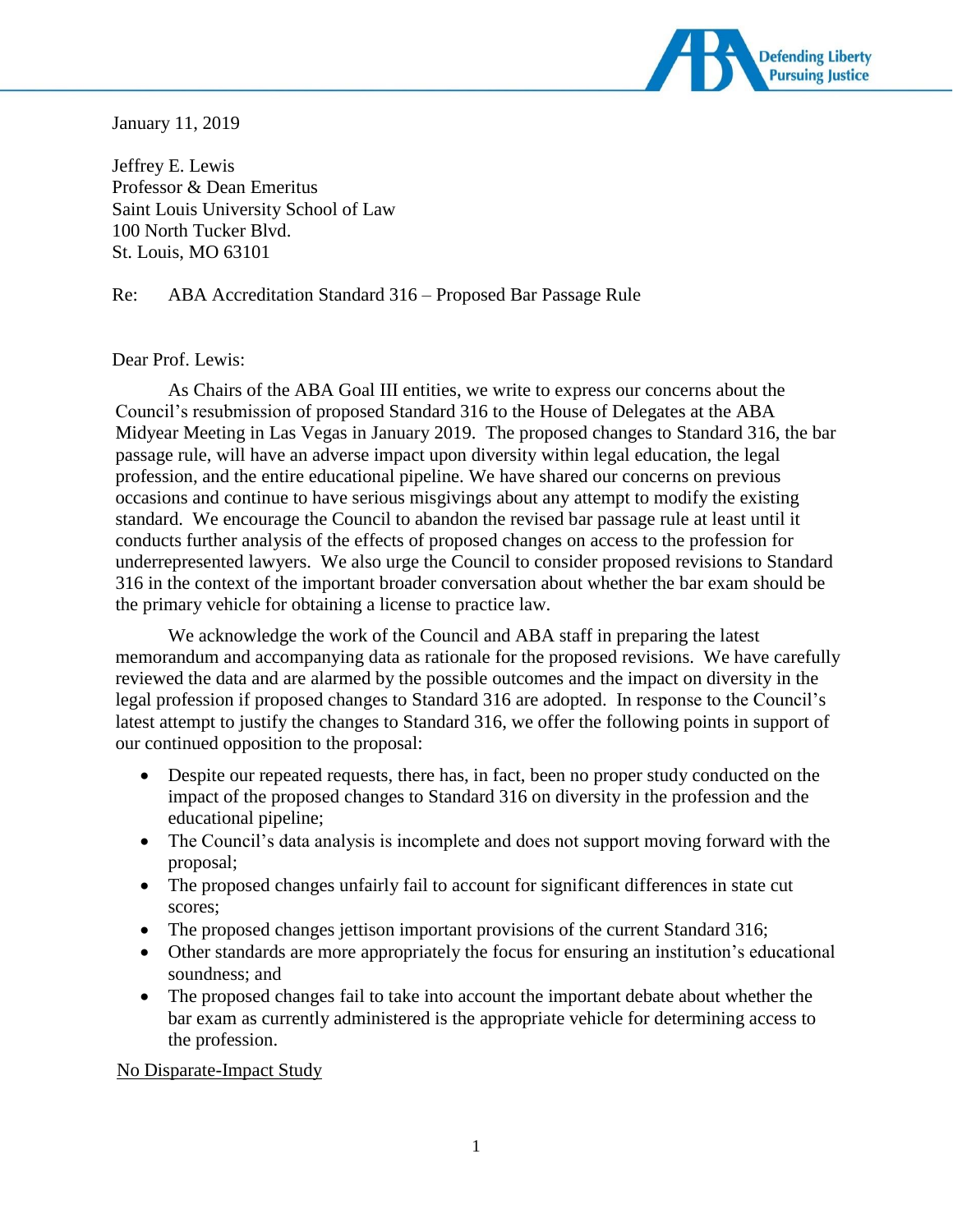

January 11, 2019

Jeffrey E. Lewis Professor & Dean Emeritus Saint Louis University School of Law 100 North Tucker Blvd. St. Louis, MO 63101

Re: ABA Accreditation Standard 316 – Proposed Bar Passage Rule

# Dear Prof. Lewis:

As Chairs of the ABA Goal III entities, we write to express our concerns about the Council's resubmission of proposed Standard 316 to the House of Delegates at the ABA Midyear Meeting in Las Vegas in January 2019. The proposed changes to Standard 316, the bar passage rule, will have an adverse impact upon diversity within legal education, the legal profession, and the entire educational pipeline. We have shared our concerns on previous occasions and continue to have serious misgivings about any attempt to modify the existing standard. We encourage the Council to abandon the revised bar passage rule at least until it conducts further analysis of the effects of proposed changes on access to the profession for underrepresented lawyers. We also urge the Council to consider proposed revisions to Standard 316 in the context of the important broader conversation about whether the bar exam should be the primary vehicle for obtaining a license to practice law.

We acknowledge the work of the Council and ABA staff in preparing the latest memorandum and accompanying data as rationale for the proposed revisions. We have carefully reviewed the data and are alarmed by the possible outcomes and the impact on diversity in the legal profession if proposed changes to Standard 316 are adopted. In response to the Council's latest attempt to justify the changes to Standard 316, we offer the following points in support of our continued opposition to the proposal:

- Despite our repeated requests, there has, in fact, been no proper study conducted on the impact of the proposed changes to Standard 316 on diversity in the profession and the educational pipeline;
- The Council's data analysis is incomplete and does not support moving forward with the proposal;
- The proposed changes unfairly fail to account for significant differences in state cut scores;
- The proposed changes jettison important provisions of the current Standard 316;
- Other standards are more appropriately the focus for ensuring an institution's educational soundness; and
- The proposed changes fail to take into account the important debate about whether the bar exam as currently administered is the appropriate vehicle for determining access to the profession.

No Disparate-Impact Study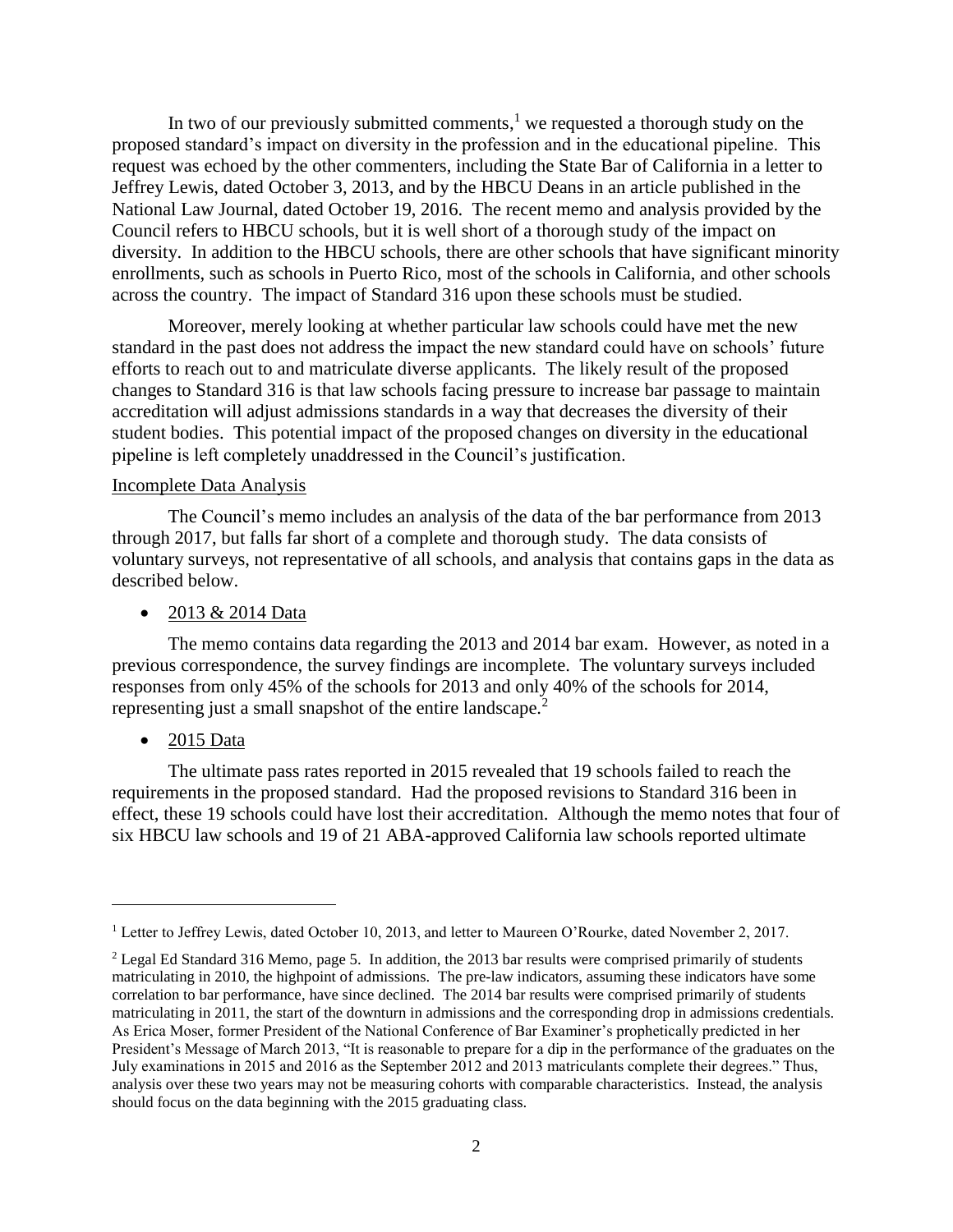In two of our previously submitted comments, $<sup>1</sup>$  we requested a thorough study on the</sup> proposed standard's impact on diversity in the profession and in the educational pipeline. This request was echoed by the other commenters, including the State Bar of California in a letter to Jeffrey Lewis, dated October 3, 2013, and by the HBCU Deans in an article published in the National Law Journal, dated October 19, 2016. The recent memo and analysis provided by the Council refers to HBCU schools, but it is well short of a thorough study of the impact on diversity. In addition to the HBCU schools, there are other schools that have significant minority enrollments, such as schools in Puerto Rico, most of the schools in California, and other schools across the country. The impact of Standard 316 upon these schools must be studied.

Moreover, merely looking at whether particular law schools could have met the new standard in the past does not address the impact the new standard could have on schools' future efforts to reach out to and matriculate diverse applicants. The likely result of the proposed changes to Standard 316 is that law schools facing pressure to increase bar passage to maintain accreditation will adjust admissions standards in a way that decreases the diversity of their student bodies. This potential impact of the proposed changes on diversity in the educational pipeline is left completely unaddressed in the Council's justification.

## Incomplete Data Analysis

The Council's memo includes an analysis of the data of the bar performance from 2013 through 2017, but falls far short of a complete and thorough study. The data consists of voluntary surveys, not representative of all schools, and analysis that contains gaps in the data as described below.

## • 2013 & 2014 Data

The memo contains data regarding the 2013 and 2014 bar exam. However, as noted in a previous correspondence, the survey findings are incomplete. The voluntary surveys included responses from only 45% of the schools for 2013 and only 40% of the schools for 2014, representing just a small snapshot of the entire landscape.<sup>2</sup>

## • 2015 Data

 $\overline{a}$ 

The ultimate pass rates reported in 2015 revealed that 19 schools failed to reach the requirements in the proposed standard. Had the proposed revisions to Standard 316 been in effect, these 19 schools could have lost their accreditation. Although the memo notes that four of six HBCU law schools and 19 of 21 ABA-approved California law schools reported ultimate

<sup>1</sup> Letter to Jeffrey Lewis, dated October 10, 2013, and letter to Maureen O'Rourke, dated November 2, 2017.

<sup>&</sup>lt;sup>2</sup> Legal Ed Standard 316 Memo, page 5. In addition, the 2013 bar results were comprised primarily of students matriculating in 2010, the highpoint of admissions. The pre-law indicators, assuming these indicators have some correlation to bar performance, have since declined. The 2014 bar results were comprised primarily of students matriculating in 2011, the start of the downturn in admissions and the corresponding drop in admissions credentials. As Erica Moser, former President of the National Conference of Bar Examiner's prophetically predicted in her President's Message of March 2013, "It is reasonable to prepare for a dip in the performance of the graduates on the July examinations in 2015 and 2016 as the September 2012 and 2013 matriculants complete their degrees." Thus, analysis over these two years may not be measuring cohorts with comparable characteristics. Instead, the analysis should focus on the data beginning with the 2015 graduating class.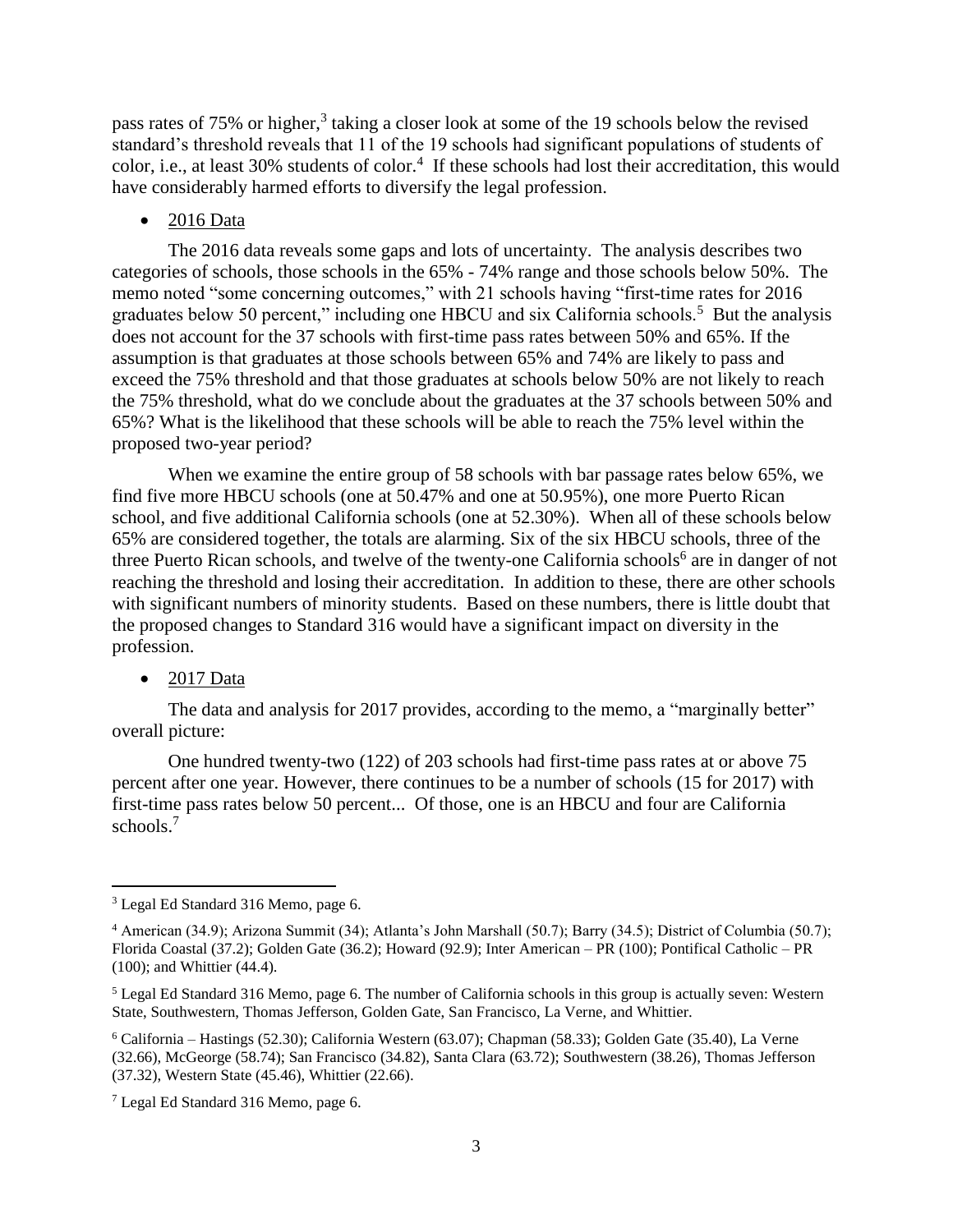pass rates of 75% or higher,<sup>3</sup> taking a closer look at some of the 19 schools below the revised standard's threshold reveals that 11 of the 19 schools had significant populations of students of color, i.e., at least 30% students of color.<sup>4</sup> If these schools had lost their accreditation, this would have considerably harmed efforts to diversify the legal profession.

## • 2016 Data

The 2016 data reveals some gaps and lots of uncertainty. The analysis describes two categories of schools, those schools in the 65% - 74% range and those schools below 50%. The memo noted "some concerning outcomes," with 21 schools having "first-time rates for 2016 graduates below 50 percent," including one HBCU and six California schools.<sup>5</sup> But the analysis does not account for the 37 schools with first-time pass rates between 50% and 65%. If the assumption is that graduates at those schools between 65% and 74% are likely to pass and exceed the 75% threshold and that those graduates at schools below 50% are not likely to reach the 75% threshold, what do we conclude about the graduates at the 37 schools between 50% and 65%? What is the likelihood that these schools will be able to reach the 75% level within the proposed two-year period?

When we examine the entire group of 58 schools with bar passage rates below 65%, we find five more HBCU schools (one at 50.47% and one at 50.95%), one more Puerto Rican school, and five additional California schools (one at 52.30%). When all of these schools below 65% are considered together, the totals are alarming. Six of the six HBCU schools, three of the three Puerto Rican schools, and twelve of the twenty-one California schools<sup>6</sup> are in danger of not reaching the threshold and losing their accreditation. In addition to these, there are other schools with significant numbers of minority students. Based on these numbers, there is little doubt that the proposed changes to Standard 316 would have a significant impact on diversity in the profession.

### $\bullet$  2017 Data

 $\overline{a}$ 

The data and analysis for 2017 provides, according to the memo, a "marginally better" overall picture:

One hundred twenty-two (122) of 203 schools had first-time pass rates at or above 75 percent after one year. However, there continues to be a number of schools (15 for 2017) with first-time pass rates below 50 percent... Of those, one is an HBCU and four are California schools.<sup>7</sup>

<sup>3</sup> Legal Ed Standard 316 Memo, page 6.

<sup>4</sup> American (34.9); Arizona Summit (34); Atlanta's John Marshall (50.7); Barry (34.5); District of Columbia (50.7); Florida Coastal (37.2); Golden Gate (36.2); Howard (92.9); Inter American – PR (100); Pontifical Catholic – PR (100); and Whittier (44.4).

<sup>5</sup> Legal Ed Standard 316 Memo, page 6. The number of California schools in this group is actually seven: Western State, Southwestern, Thomas Jefferson, Golden Gate, San Francisco, La Verne, and Whittier.

<sup>6</sup> California – Hastings (52.30); California Western (63.07); Chapman (58.33); Golden Gate (35.40), La Verne (32.66), McGeorge (58.74); San Francisco (34.82), Santa Clara (63.72); Southwestern (38.26), Thomas Jefferson (37.32), Western State (45.46), Whittier (22.66).

<sup>7</sup> Legal Ed Standard 316 Memo, page 6.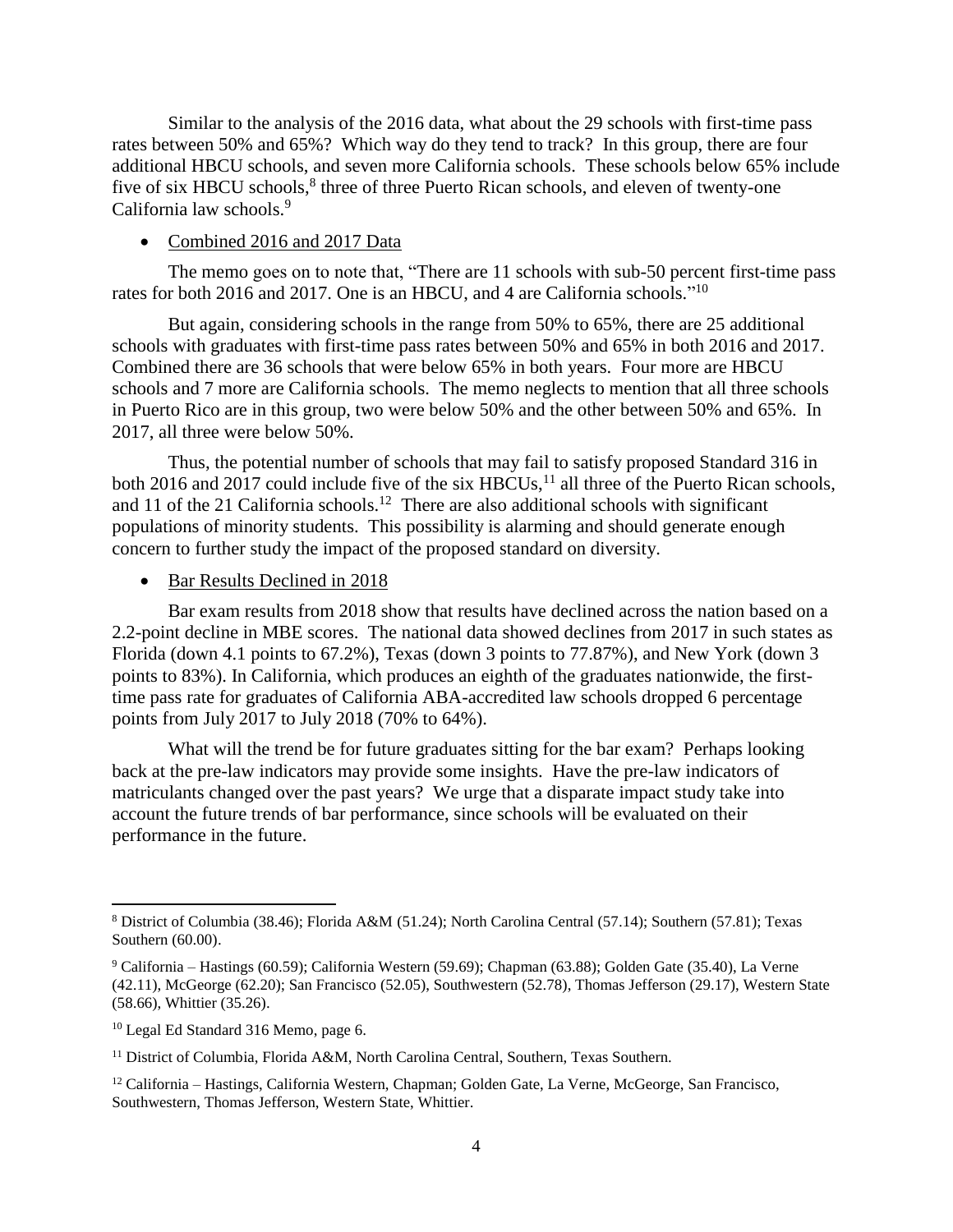Similar to the analysis of the 2016 data, what about the 29 schools with first-time pass rates between 50% and 65%? Which way do they tend to track? In this group, there are four additional HBCU schools, and seven more California schools. These schools below 65% include five of six HBCU schools,<sup>8</sup> three of three Puerto Rican schools, and eleven of twenty-one California law schools.<sup>9</sup>

#### • Combined 2016 and 2017 Data

The memo goes on to note that, "There are 11 schools with sub-50 percent first-time pass rates for both 2016 and 2017. One is an HBCU, and 4 are California schools."<sup>10</sup>

But again, considering schools in the range from 50% to 65%, there are 25 additional schools with graduates with first-time pass rates between 50% and 65% in both 2016 and 2017. Combined there are 36 schools that were below 65% in both years. Four more are HBCU schools and 7 more are California schools. The memo neglects to mention that all three schools in Puerto Rico are in this group, two were below 50% and the other between 50% and 65%. In 2017, all three were below 50%.

Thus, the potential number of schools that may fail to satisfy proposed Standard 316 in both 2016 and 2017 could include five of the six  $HBCUs$ ,<sup>11</sup> all three of the Puerto Rican schools, and 11 of the 21 California schools.<sup>12</sup> There are also additional schools with significant populations of minority students. This possibility is alarming and should generate enough concern to further study the impact of the proposed standard on diversity.

#### • Bar Results Declined in 2018

Bar exam results from 2018 show that results have declined across the nation based on a 2.2-point decline in MBE scores. The national data showed declines from 2017 in such states as Florida (down 4.1 points to 67.2%), Texas (down 3 points to 77.87%), and New York (down 3 points to 83%). In California, which produces an eighth of the graduates nationwide, the firsttime pass rate for graduates of California ABA-accredited law schools dropped 6 percentage points from July 2017 to July 2018 (70% to 64%).

What will the trend be for future graduates sitting for the bar exam? Perhaps looking back at the pre-law indicators may provide some insights. Have the pre-law indicators of matriculants changed over the past years? We urge that a disparate impact study take into account the future trends of bar performance, since schools will be evaluated on their performance in the future.

 $\overline{\phantom{a}}$ 

<sup>8</sup> District of Columbia (38.46); Florida A&M (51.24); North Carolina Central (57.14); Southern (57.81); Texas Southern (60.00).

<sup>9</sup> California – Hastings (60.59); California Western (59.69); Chapman (63.88); Golden Gate (35.40), La Verne (42.11), McGeorge (62.20); San Francisco (52.05), Southwestern (52.78), Thomas Jefferson (29.17), Western State (58.66), Whittier (35.26).

<sup>10</sup> Legal Ed Standard 316 Memo, page 6.

<sup>&</sup>lt;sup>11</sup> District of Columbia, Florida A&M, North Carolina Central, Southern, Texas Southern.

<sup>12</sup> California – Hastings, California Western, Chapman; Golden Gate, La Verne, McGeorge, San Francisco, Southwestern, Thomas Jefferson, Western State, Whittier.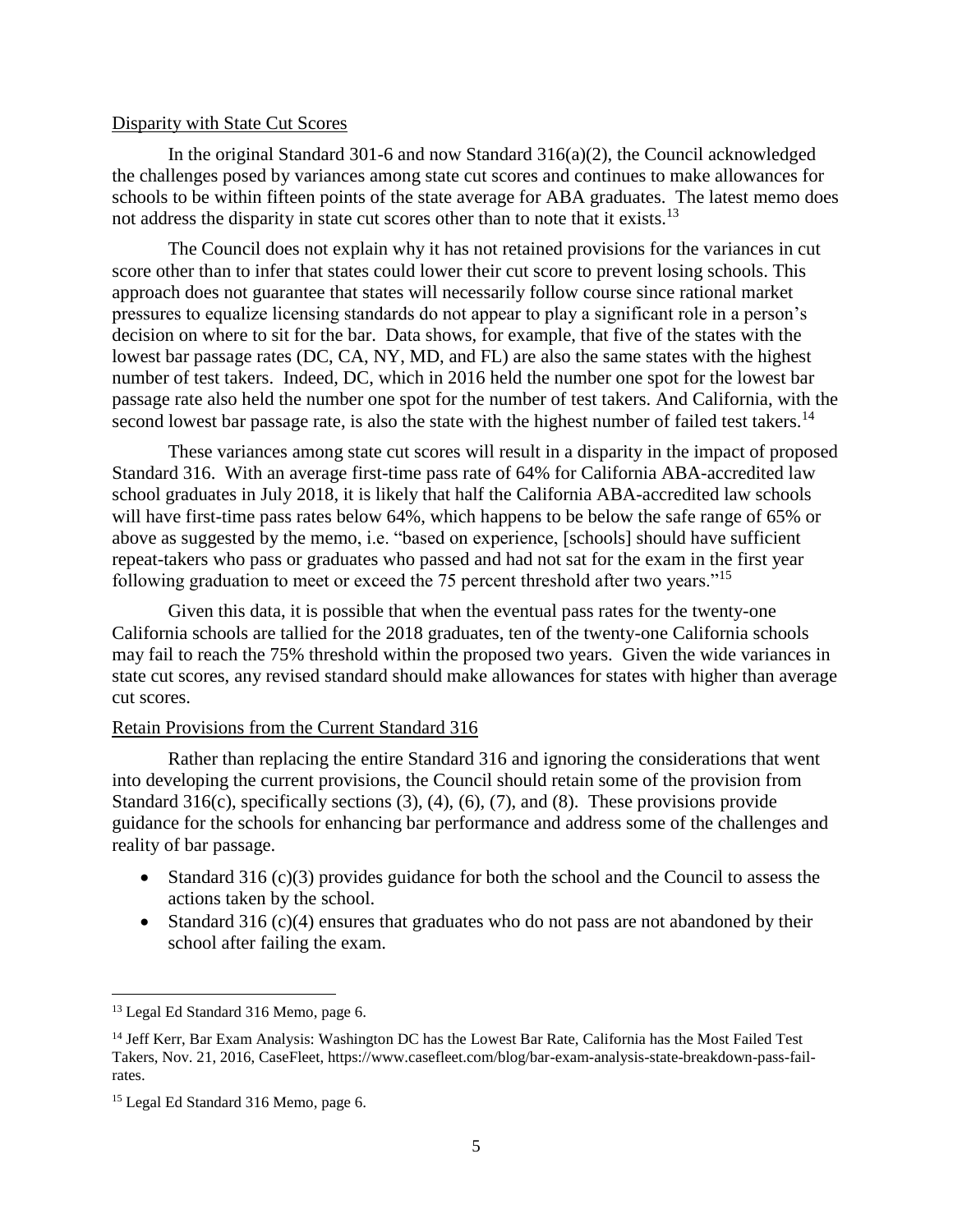## Disparity with State Cut Scores

In the original Standard 301-6 and now Standard 316(a)(2), the Council acknowledged the challenges posed by variances among state cut scores and continues to make allowances for schools to be within fifteen points of the state average for ABA graduates. The latest memo does not address the disparity in state cut scores other than to note that it exists.<sup>13</sup>

The Council does not explain why it has not retained provisions for the variances in cut score other than to infer that states could lower their cut score to prevent losing schools. This approach does not guarantee that states will necessarily follow course since rational market pressures to equalize licensing standards do not appear to play a significant role in a person's decision on where to sit for the bar. Data shows, for example, that five of the states with the lowest bar passage rates (DC, CA, NY, MD, and FL) are also the same states with the highest number of test takers. Indeed, DC, which in 2016 held the number one spot for the lowest bar passage rate also held the number one spot for the number of test takers. And California, with the second lowest bar passage rate, is also the state with the highest number of failed test takers.<sup>14</sup>

These variances among state cut scores will result in a disparity in the impact of proposed Standard 316. With an average first-time pass rate of 64% for California ABA-accredited law school graduates in July 2018, it is likely that half the California ABA-accredited law schools will have first-time pass rates below 64%, which happens to be below the safe range of 65% or above as suggested by the memo, i.e. "based on experience, [schools] should have sufficient repeat-takers who pass or graduates who passed and had not sat for the exam in the first year following graduation to meet or exceed the 75 percent threshold after two years."<sup>15</sup>

Given this data, it is possible that when the eventual pass rates for the twenty-one California schools are tallied for the 2018 graduates, ten of the twenty-one California schools may fail to reach the 75% threshold within the proposed two years. Given the wide variances in state cut scores, any revised standard should make allowances for states with higher than average cut scores.

## Retain Provisions from the Current Standard 316

Rather than replacing the entire Standard 316 and ignoring the considerations that went into developing the current provisions, the Council should retain some of the provision from Standard 316(c), specifically sections (3), (4), (6), (7), and (8). These provisions provide guidance for the schools for enhancing bar performance and address some of the challenges and reality of bar passage.

- Standard 316 (c)(3) provides guidance for both the school and the Council to assess the actions taken by the school.
- Standard 316 (c)(4) ensures that graduates who do not pass are not abandoned by their school after failing the exam.

l

<sup>13</sup> Legal Ed Standard 316 Memo, page 6.

<sup>&</sup>lt;sup>14</sup> Jeff Kerr, Bar Exam Analysis: Washington DC has the Lowest Bar Rate, California has the Most Failed Test Takers, Nov. 21, 2016, CaseFleet, https://www.casefleet.com/blog/bar-exam-analysis-state-breakdown-pass-failrates.

<sup>&</sup>lt;sup>15</sup> Legal Ed Standard 316 Memo, page 6.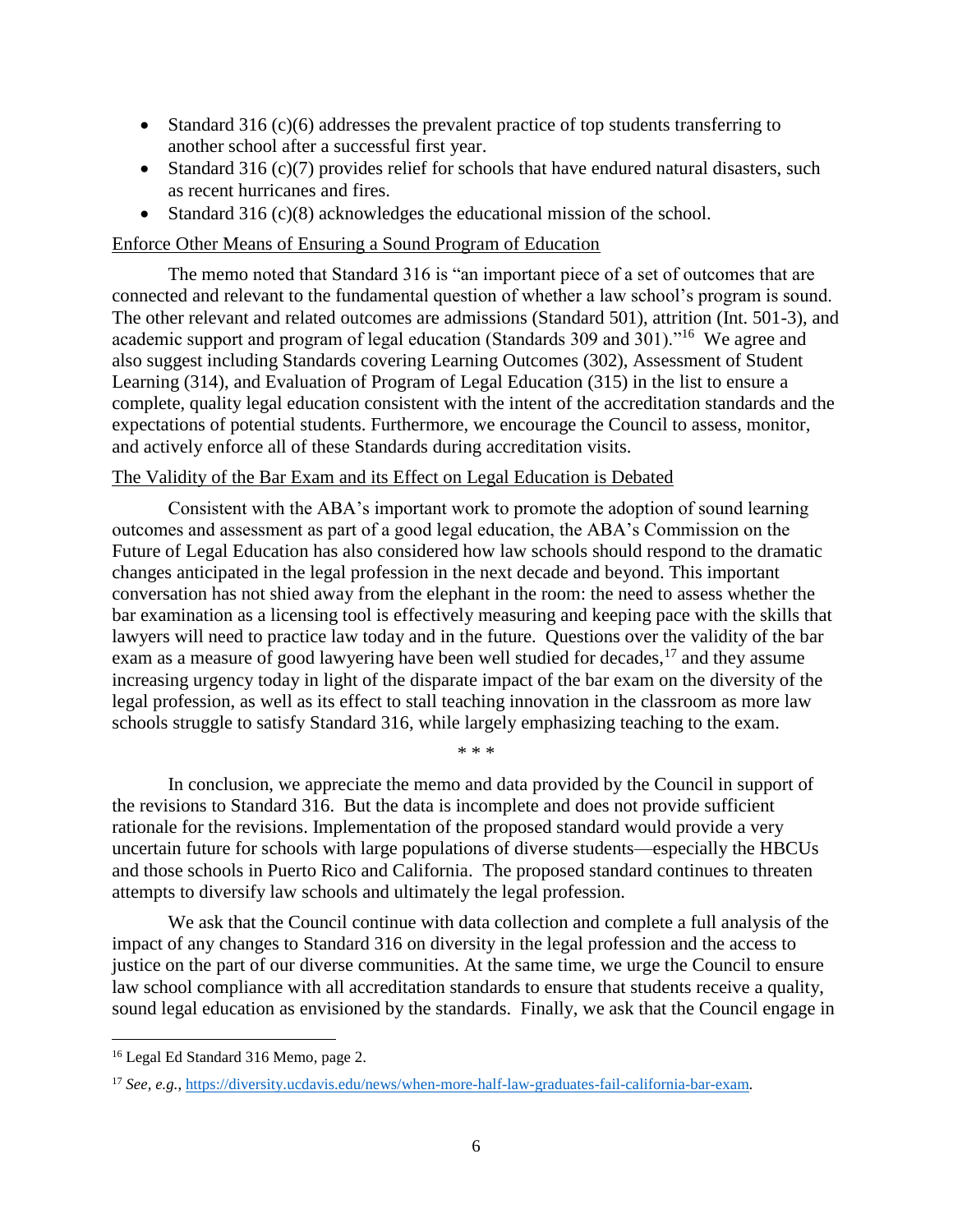- Standard 316 (c)(6) addresses the prevalent practice of top students transferring to another school after a successful first year.
- Standard 316 (c)(7) provides relief for schools that have endured natural disasters, such as recent hurricanes and fires.
- Standard 316 (c)(8) acknowledges the educational mission of the school.

## Enforce Other Means of Ensuring a Sound Program of Education

The memo noted that Standard 316 is "an important piece of a set of outcomes that are connected and relevant to the fundamental question of whether a law school's program is sound. The other relevant and related outcomes are admissions (Standard 501), attrition (Int. 501-3), and academic support and program of legal education (Standards 309 and 301)."<sup>16</sup> We agree and also suggest including Standards covering Learning Outcomes (302), Assessment of Student Learning (314), and Evaluation of Program of Legal Education (315) in the list to ensure a complete, quality legal education consistent with the intent of the accreditation standards and the expectations of potential students. Furthermore, we encourage the Council to assess, monitor, and actively enforce all of these Standards during accreditation visits.

## The Validity of the Bar Exam and its Effect on Legal Education is Debated

Consistent with the ABA's important work to promote the adoption of sound learning outcomes and assessment as part of a good legal education, the ABA's Commission on the Future of Legal Education has also considered how law schools should respond to the dramatic changes anticipated in the legal profession in the next decade and beyond. This important conversation has not shied away from the elephant in the room: the need to assess whether the bar examination as a licensing tool is effectively measuring and keeping pace with the skills that lawyers will need to practice law today and in the future. Questions over the validity of the bar exam as a measure of good lawyering have been well studied for decades,  $17$  and they assume increasing urgency today in light of the disparate impact of the bar exam on the diversity of the legal profession, as well as its effect to stall teaching innovation in the classroom as more law schools struggle to satisfy Standard 316, while largely emphasizing teaching to the exam.

In conclusion, we appreciate the memo and data provided by the Council in support of the revisions to Standard 316. But the data is incomplete and does not provide sufficient rationale for the revisions. Implementation of the proposed standard would provide a very uncertain future for schools with large populations of diverse students—especially the HBCUs and those schools in Puerto Rico and California. The proposed standard continues to threaten attempts to diversify law schools and ultimately the legal profession.

\* \* \*

We ask that the Council continue with data collection and complete a full analysis of the impact of any changes to Standard 316 on diversity in the legal profession and the access to justice on the part of our diverse communities. At the same time, we urge the Council to ensure law school compliance with all accreditation standards to ensure that students receive a quality, sound legal education as envisioned by the standards. Finally, we ask that the Council engage in

 $\overline{\phantom{a}}$ 

<sup>16</sup> Legal Ed Standard 316 Memo, page 2.

<sup>17</sup> *See, e.g.*, [https://diversity.ucdavis.edu/news/when-more-half-law-graduates-fail-california-bar-exam.](https://diversity.ucdavis.edu/news/when-more-half-law-graduates-fail-california-bar-exam)